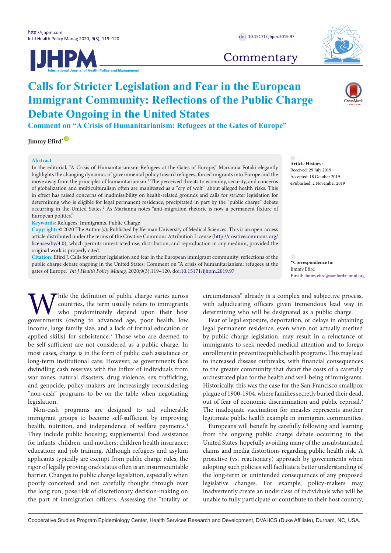





# **Commentary**

# **Calls for Stricter Legislation and Fear in the European Immigrant Community: Reflections of the Public Charge Debate Ongoing in the United States**

**Comment on "A Crisis of Humanitarianism: Refugees at the Gates of Europe"**

**Iimmy Efird**<sup>[\\*](#page-0-0)</sub>  $\bullet$ </sup>

# **Abstract**

In the editorial, "A Crisis of Humanitarianism: Refugees at the Gates of Europe," Marianna Fotaki elegantly highlights the changing dynamics of governmental policy toward refugees, forced migrants into Europe and the move away from the principles of humanitarianism.<sup>1</sup> The perceived threats to economy, security, and concerns of globalization and multiculturalism often are manifested as a "cry of wolf " about alleged health risks. This in effect has raised concerns of inadmissibility on health-related grounds and calls for stricter legislation for determining who is eligible for legal permanent residence, precipitated in part by the "public charge" debate occurring in the United States.<sup>2</sup> As Marianna notes "anti-migration rhetoric is now a permanent fixture of European politics."

**Keywords:** Refugees, Immigrants, Public Charge

**Copyright:** © 2020 The Author(s); Published by Kerman University of Medical Sciences. This is an open-access article distributed under the terms of the Creative Commons Attribution License [\(http://creativecommons.org/](http://creativecommons.org/licenses/by/4.0) [licenses/by/4.0](http://creativecommons.org/licenses/by/4.0)), which permits unrestricted use, distribution, and reproduction in any medium, provided the original work is properly cited.

**Citation:** Efird J. Calls for stricter legislation and fear in the European immigrant community: reflections of the public charge debate ongoing in the United States: Comment on "A crisis of humanitarianism: refugees at the gates of Europe." *Int J Health Policy Manag.* 2020;9(3):119–120. doi[:10.15171/ijhpm.2019.97](https://doi.org/10.15171/ijhpm.2019.97)

<span id="page-0-0"></span>**\*Correspondence to:** Jimmy Efird Email: jimmy.efird@stanfordalumni.org

**Article History:** Received: 29 July 2019 Accepted: 18 October 2019 ePublished: 2 November 2019

While the definition of public charge varies across countries, the term usually refers to immigrants who predominately depend upon their host governments (owing to advanced age, poor health, low countries, the term usually refers to immigrants who predominately depend upon their host income, large family size, and a lack of formal education or applied skills) for subsistence.<sup>3</sup> Those who are deemed to be self-sufficient are not considered as a public charge. In most cases, charge is in the form of public cash assistance or long-term institutional care. However, as governments face dwindling cash reserves with the influx of individuals from war zones, natural disasters, drug violence, sex trafficking, and genocide, policy-makers are increasingly reconsidering "non-cash" programs to be on the table when negotiating legislation.

Non-cash programs are designed to aid vulnerable immigrant groups to become self-sufficient by improving health, nutrition, and independence of welfare payments.<sup>4</sup> They include public housing; supplemental food assistance for infants, children, and mothers; children health insurance; education; and job training. Although refugees and asylum applicants typically are exempt from public charge rules, the rigor of legally proving one's status often is an insurmountable barrier. Changes to public charge legislation, especially when poorly conceived and not carefully thought through over the long run, pose risk of discretionary decision-making on the part of immigration officers. Assessing the "totality of circumstances" already is a complex and subjective process, with adjudicating officers given tremendous lead way in determining who will be designated as a public charge.

Fear of legal exposure, deportation, or delays in obtaining legal permanent residence, even when not actually merited by public charge legislation, may result in a reluctance of immigrants to seek needed medical attention and to forego enrollment in preventive public health programs. This may lead to increased disease outbreaks, with financial consequences to the greater community that dwarf the costs of a carefully orchestrated plan for the health and well-being of immigrants. Historically, this was the case for the San Francisco smallpox plague of 1900-1904, where families secretly buried their dead, out of fear of economic discrimination and public reprisal.<sup>5</sup> The inadequate vaccination for measles represents another legitimate public health example in immigrant communities.

Europeans will benefit by carefully following and learning from the ongoing public charge debate occurring in the United States, hopefully avoiding many of the unsubstantiated claims and media distortions regarding public health risk. A proactive (vs. reactionary) approach by governments when adopting such policies will facilitate a better understanding of the long-term or unintended consequences of any proposed legislative changes. For example, policy-makers may inadvertently create an underclass of individuals who will be unable to fully participate or contribute to their host country,

Cooperative Studies Program Epidemiology Center, Health Services Research and Development, DVAHCS (Duke Affiliate), Durham, NC, USA.